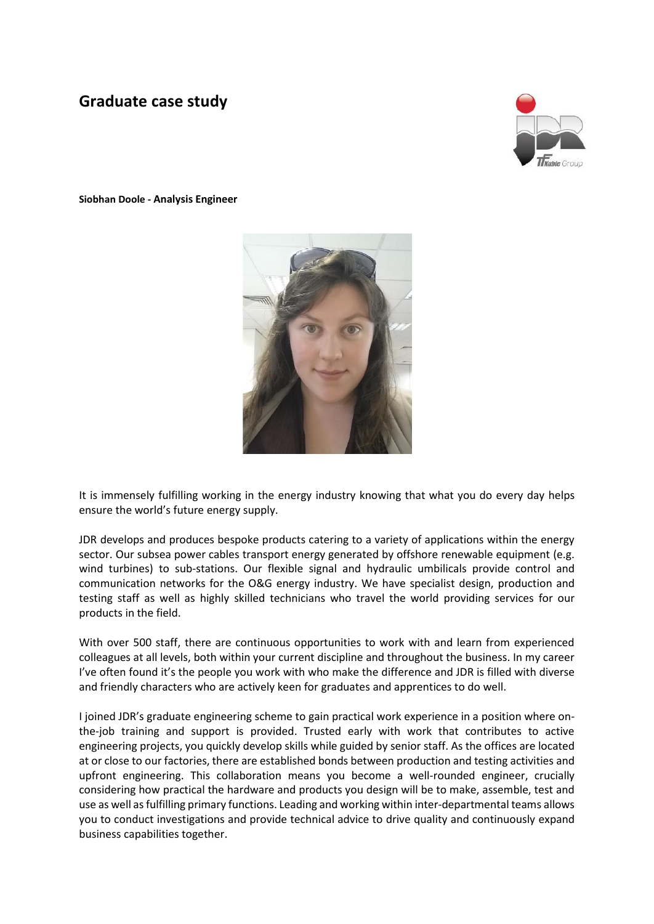## **Graduate case study**



**Siobhan Doole - Analysis Engineer**



It is immensely fulfilling working in the energy industry knowing that what you do every day helps ensure the world's future energy supply.

JDR develops and produces bespoke products catering to a variety of applications within the energy sector. Our subsea power cables transport energy generated by offshore renewable equipment (e.g. wind turbines) to sub-stations. Our flexible signal and hydraulic umbilicals provide control and communication networks for the O&G energy industry. We have specialist design, production and testing staff as well as highly skilled technicians who travel the world providing services for our products in the field.

With over 500 staff, there are continuous opportunities to work with and learn from experienced colleagues at all levels, both within your current discipline and throughout the business. In my career I've often found it's the people you work with who make the difference and JDR is filled with diverse and friendly characters who are actively keen for graduates and apprentices to do well.

I joined JDR's graduate engineering scheme to gain practical work experience in a position where onthe-job training and support is provided. Trusted early with work that contributes to active engineering projects, you quickly develop skills while guided by senior staff. As the offices are located at or close to our factories, there are established bonds between production and testing activities and upfront engineering. This collaboration means you become a well-rounded engineer, crucially considering how practical the hardware and products you design will be to make, assemble, test and use as well as fulfilling primary functions. Leading and working within inter-departmental teams allows you to conduct investigations and provide technical advice to drive quality and continuously expand business capabilities together.